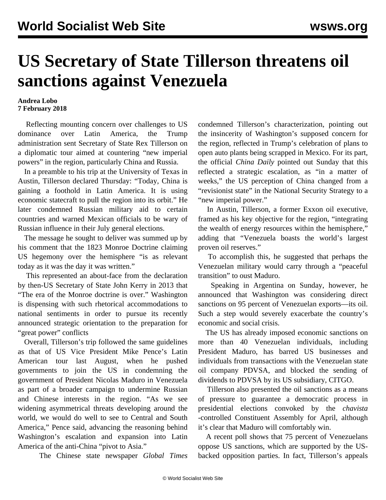## **US Secretary of State Tillerson threatens oil sanctions against Venezuela**

## **Andrea Lobo 7 February 2018**

 Reflecting mounting concern over challenges to US dominance over Latin America, the Trump administration sent Secretary of State Rex Tillerson on a diplomatic tour aimed at countering "new imperial powers" in the region, particularly China and Russia.

 In a preamble to his trip at the University of Texas in Austin, Tillerson declared Thursday: "Today, China is gaining a foothold in Latin America. It is using economic statecraft to pull the region into its orbit." He later condemned Russian military aid to certain countries and warned Mexican officials to be wary of Russian influence in their July general elections.

 The message he sought to deliver was summed up by his comment that the 1823 Monroe Doctrine claiming US hegemony over the hemisphere "is as relevant today as it was the day it was written."

 This represented an about-face from the declaration by then-US Secretary of State John Kerry in 2013 that "The era of the Monroe doctrine is over." Washington is dispensing with such rhetorical accommodations to national sentiments in order to pursue its recently announced strategic orientation to the preparation for "great power" conflicts

 Overall, Tillerson's trip followed the same guidelines as that of US Vice President Mike Pence's Latin American tour last August, when he pushed governments to join the US in condemning the government of President Nicolas Maduro in Venezuela as part of a broader campaign to undermine Russian and Chinese interests in the region. "As we see widening asymmetrical threats developing around the world, we would do well to see to Central and South America," Pence said, advancing the reasoning behind Washington's escalation and expansion into Latin America of the anti-China "pivot to Asia."

The Chinese state newspaper *Global Times*

condemned Tillerson's characterization, pointing out the insincerity of Washington's supposed concern for the region, reflected in Trump's celebration of plans to open auto plants being scrapped in Mexico. For its part, the official *China Daily* pointed out Sunday that this reflected a strategic escalation, as "in a matter of weeks," the US perception of China changed from a "revisionist state" in the National Security Strategy to a "new imperial power."

 In Austin, Tillerson, a former Exxon oil executive, framed as his key objective for the region, "integrating the wealth of energy resources within the hemisphere," adding that "Venezuela boasts the world's largest proven oil reserves."

 To accomplish this, he suggested that perhaps the Venezuelan military would carry through a "peaceful transition" to oust Maduro.

 Speaking in Argentina on Sunday, however, he announced that Washington was considering direct sanctions on 95 percent of Venezuelan exports—its oil. Such a step would severely exacerbate the country's economic and social crisis.

 The US has already imposed economic sanctions on more than 40 Venezuelan individuals, including President Maduro, has barred US businesses and individuals from transactions with the Venezuelan state oil company PDVSA, and blocked the sending of dividends to PDVSA by its US subsidiary, CITGO.

 Tillerson also presented the oil sanctions as a means of pressure to guarantee a democratic process in presidential elections convoked by the *chavista* -controlled Constituent Assembly for April, although it's clear that Maduro will comfortably win.

 A recent poll shows that 75 percent of Venezuelans oppose US sanctions, which are supported by the USbacked opposition parties. In fact, Tillerson's appeals